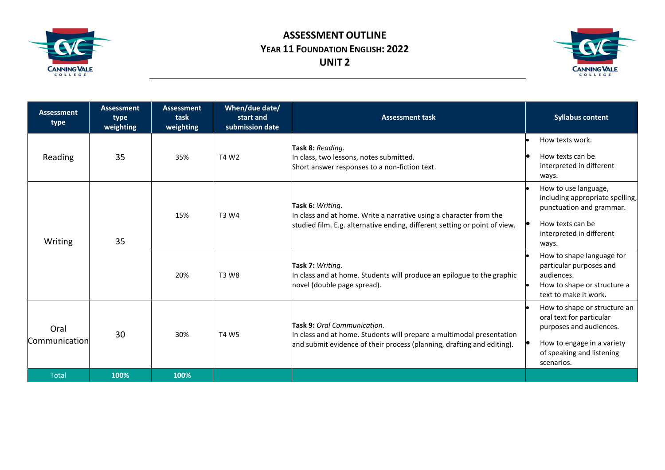

## **ASSESSMENT OUTLINE YEAR 11 FOUNDATION ENGLISH: 2022 UNIT 2**



| <b>Assessment</b><br>type | <b>Assessment</b><br>type<br>weighting | <b>Assessment</b><br>task<br>weighting | When/due date/<br>start and<br>submission date | <b>Assessment task</b>                                                                                                                                                         | <b>Syllabus content</b>                                                                                                                                      |
|---------------------------|----------------------------------------|----------------------------------------|------------------------------------------------|--------------------------------------------------------------------------------------------------------------------------------------------------------------------------------|--------------------------------------------------------------------------------------------------------------------------------------------------------------|
| Reading                   | 35                                     | 35%                                    | T4 W2                                          | Task 8: Reading.<br>In class, two lessons, notes submitted.<br>Short answer responses to a non-fiction text.                                                                   | How texts work.<br>How texts can be<br>interpreted in different<br>ways.                                                                                     |
| Writing                   | 35                                     | 15%                                    | T3 W4                                          | Task 6: Writing.<br>In class and at home. Write a narrative using a character from the<br>studied film. E.g. alternative ending, different setting or point of view.           | How to use language,<br>including appropriate spelling,<br>punctuation and grammar.<br>How texts can be<br>interpreted in different<br>ways.                 |
|                           |                                        | 20%                                    | T3 W8                                          | Task 7: Writing.<br>In class and at home. Students will produce an epilogue to the graphic<br>novel (double page spread).                                                      | How to shape language for<br>particular purposes and<br>audiences.<br>How to shape or structure a<br>text to make it work.                                   |
| Oral<br>Communication     | 30                                     | 30%                                    | <b>T4 W5</b>                                   | Task 9: Oral Communication.<br>In class and at home. Students will prepare a multimodal presentation<br>and submit evidence of their process (planning, drafting and editing). | How to shape or structure an<br>oral text for particular<br>purposes and audiences.<br>How to engage in a variety<br>of speaking and listening<br>scenarios. |
| <b>Total</b>              | 100%                                   | 100%                                   |                                                |                                                                                                                                                                                |                                                                                                                                                              |